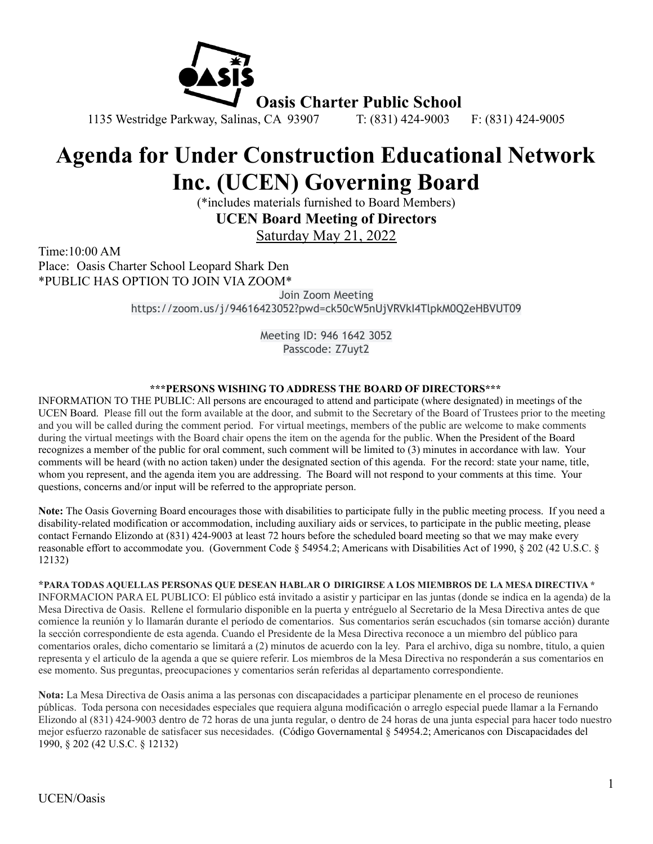

# **Agenda for Under Construction Educational Network Inc. (UCEN) Governing Board**

(\*includes materials furnished to Board Members)

**UCEN Board Meeting of Directors**

Saturday May 21, 2022

Time:10:00 AM Place: Oasis Charter School Leopard Shark Den \*PUBLIC HAS OPTION TO JOIN VIA ZOOM\*

> Join Zoom Meeting https://zoom.us/j/94616423052?pwd=ck50cW5nUjVRVkI4TlpkM0Q2eHBVUT09

> > Meeting ID: 946 1642 3052 Passcode: Z7uyt2

#### **\*\*\*PERSONS WISHING TO ADDRESS THE BOARD OF DIRECTORS\*\*\***

INFORMATION TO THE PUBLIC: All persons are encouraged to attend and participate (where designated) in meetings of the UCEN Board. Please fill out the form available at the door, and submit to the Secretary of the Board of Trustees prior to the meeting and you will be called during the comment period. For virtual meetings, members of the public are welcome to make comments during the virtual meetings with the Board chair opens the item on the agenda for the public. When the President of the Board recognizes a member of the public for oral comment, such comment will be limited to (3) minutes in accordance with law. Your comments will be heard (with no action taken) under the designated section of this agenda. For the record: state your name, title, whom you represent, and the agenda item you are addressing. The Board will not respond to your comments at this time. Your questions, concerns and/or input will be referred to the appropriate person.

**Note:** The Oasis Governing Board encourages those with disabilities to participate fully in the public meeting process. If you need a disability-related modification or accommodation, including auxiliary aids or services, to participate in the public meeting, please contact Fernando Elizondo at (831) 424-9003 at least 72 hours before the scheduled board meeting so that we may make every reasonable effort to accommodate you. (Government Code § 54954.2; Americans with Disabilities Act of 1990, § 202 (42 U.S.C. § 12132)

**\*PARA TODAS AQUELLAS PERSONAS QUE DESEAN HABLAR O DIRIGIRSE A LOS MIEMBROS DE LA MESA DIRECTIVA \*** INFORMACION PARA EL PUBLICO: El público está invitado a asistir y participar en las juntas (donde se indica en la agenda) de la Mesa Directiva de Oasis. Rellene el formulario disponible en la puerta y entréguelo al Secretario de la Mesa Directiva antes de que comience la reunión y lo llamarán durante el período de comentarios. Sus comentarios serán escuchados (sin tomarse acción) durante la sección correspondiente de esta agenda. Cuando el Presidente de la Mesa Directiva reconoce a un miembro del público para comentarios orales, dicho comentario se limitará a (2) minutos de acuerdo con la ley. Para el archivo, diga su nombre, titulo, a quien representa y el articulo de la agenda a que se quiere referir. Los miembros de la Mesa Directiva no responderán a sus comentarios en ese momento. Sus preguntas, preocupaciones y comentarios serán referidas al departamento correspondiente.

**Nota:** La Mesa Directiva de Oasis anima a las personas con discapacidades a participar plenamente en el proceso de reuniones públicas. Toda persona con necesidades especiales que requiera alguna modificación o arreglo especial puede llamar a la Fernando Elizondo al (831) 424-9003 dentro de 72 horas de una junta regular, o dentro de 24 horas de una junta especial para hacer todo nuestro mejor esfuerzo razonable de satisfacer sus necesidades. (Código Governamental § 54954.2; Americanos con Discapacidades del 1990, § 202 (42 U.S.C. § 12132)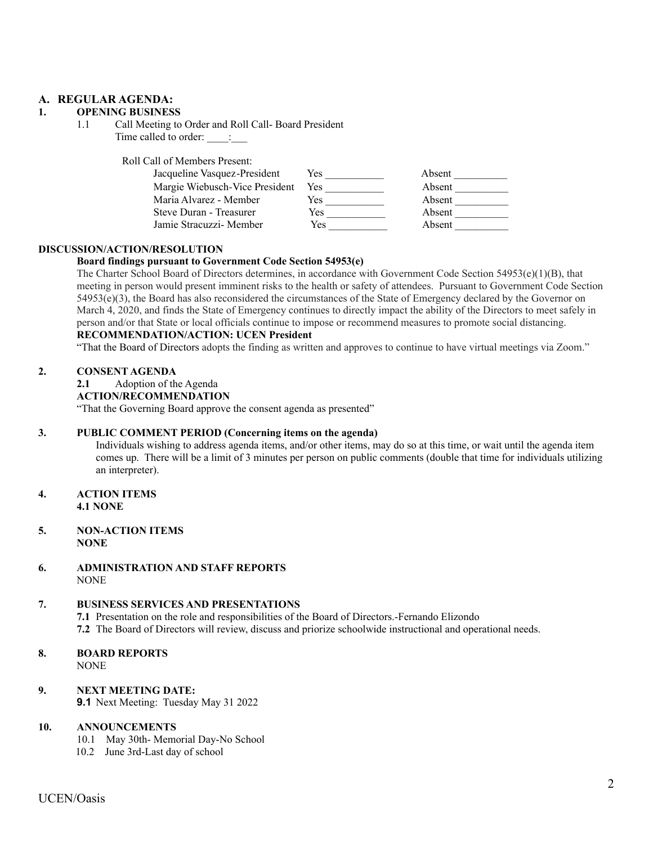#### **A. REGULAR AGENDA:**

#### **1. OPENING BUSINESS**

1.1 Call Meeting to Order and Roll Call- Board President Time called to order:  $\qquad$ :

Roll Call of Members Present:

| Jacqueline Vasquez-President   | Yes        | Absent |
|--------------------------------|------------|--------|
| Margie Wiebusch-Vice President | <b>Yes</b> | Absent |
| Maria Alvarez - Member         | Yes        | Absent |
| Steve Duran - Treasurer        | Yes        | Absent |
| Jamie Stracuzzi- Member        | Yes        | Absent |

#### **DISCUSSION/ACTION/RESOLUTION**

#### **Board findings pursuant to Government Code Section 54953(e)**

The Charter School Board of Directors determines, in accordance with Government Code Section 54953(e)(1)(B), that meeting in person would present imminent risks to the health or safety of attendees. Pursuant to Government Code Section 54953(e)(3), the Board has also reconsidered the circumstances of the State of Emergency declared by the Governor on March 4, 2020, and finds the State of Emergency continues to directly impact the ability of the Directors to meet safely in person and/or that State or local officials continue to impose or recommend measures to promote social distancing. **RECOMMENDATION/ACTION: UCEN President**

"That the Board of Directors adopts the finding as written and approves to continue to have virtual meetings via Zoom."

#### **2. CONSENT AGENDA**

#### **2.1** Adoption of the Agenda

#### **ACTION/RECOMMENDATION**

"That the Governing Board approve the consent agenda as presented"

#### **3. PUBLIC COMMENT PERIOD (Concerning items on the agenda)**

Individuals wishing to address agenda items, and/or other items, may do so at this time, or wait until the agenda item comes up. There will be a limit of 3 minutes per person on public comments (double that time for individuals utilizing an interpreter).

- **4. ACTION ITEMS 4.1 NONE**
- **5. NON-ACTION ITEMS NONE**
- **6. ADMINISTRATION AND STAFF REPORTS** NONE

#### **7. BUSINESS SERVICES AND PRESENTATIONS**

**7.1** Presentation on the role and responsibilities of the Board of Directors.-Fernando Elizondo

**7.2** The Board of Directors will review, discuss and priorize schoolwide instructional and operational needs.

## **8. BOARD REPORTS**

NONE

#### **9. NEXT MEETING DATE:**

**9.1** Next Meeting: Tuesday May 31 2022

#### **10. ANNOUNCEMENTS**

- 10.1 May 30th- Memorial Day-No School
- 10.2 June 3rd-Last day of school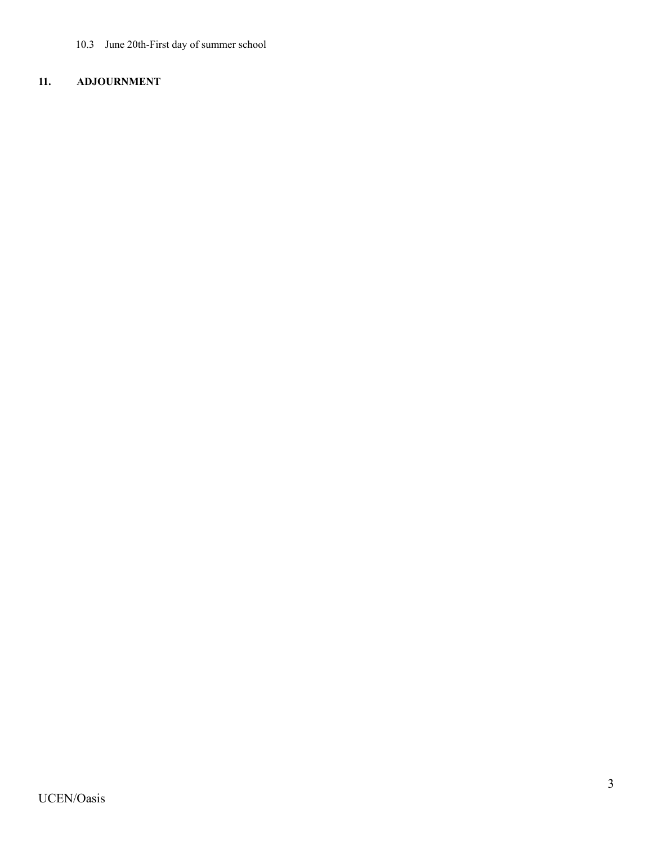10.3 June 20th-First day of summer school

### **11. ADJOURNMENT**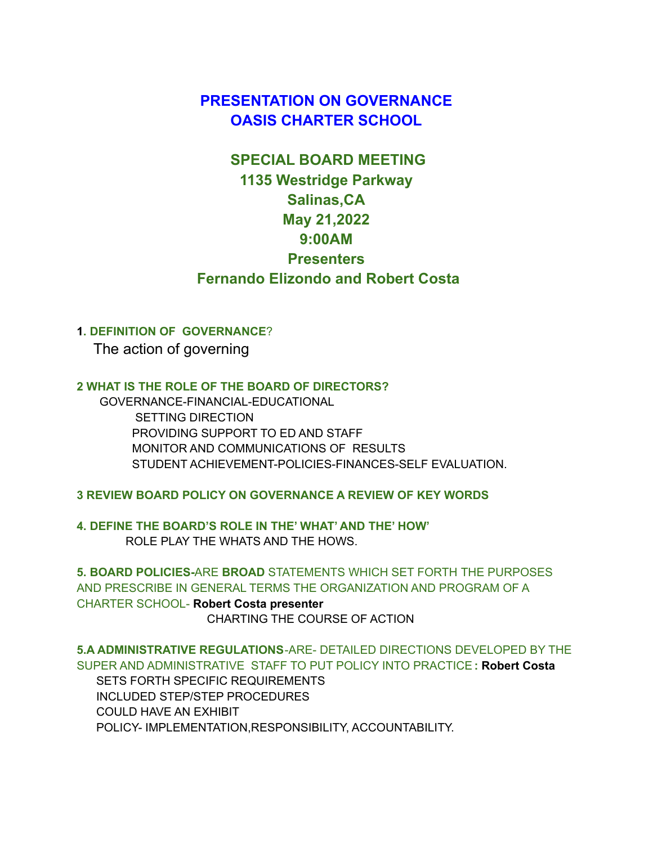# **PRESENTATION ON GOVERNANCE OASIS CHARTER SCHOOL**

# **SPECIAL BOARD MEETING 1135 Westridge Parkway Salinas,CA May 21,2022 9:00AM Presenters Fernando Elizondo and Robert Costa**

### **1. DEFINITION OF GOVERNANCE**?

The action of governing

**2 WHAT IS THE ROLE OF THE BOARD OF DIRECTORS?**

GOVERNANCE-FINANCIAL-EDUCATIONAL SETTING DIRECTION PROVIDING SUPPORT TO ED AND STAFF MONITOR AND COMMUNICATIONS OF RESULTS STUDENT ACHIEVEMENT-POLICIES-FINANCES-SELF EVALUATION.

**3 REVIEW BOARD POLICY ON GOVERNANCE A REVIEW OF KEY WORDS**

**4. DEFINE THE BOARD'S ROLE IN THE' WHAT' AND THE' HOW'** ROLE PLAY THE WHATS AND THE HOWS.

**5. BOARD POLICIES-**ARE **BROAD** STATEMENTS WHICH SET FORTH THE PURPOSES AND PRESCRIBE IN GENERAL TERMS THE ORGANIZATION AND PROGRAM OF A CHARTER SCHOOL- **Robert Costa presenter** CHARTING THE COURSE OF ACTION

**5.A ADMINISTRATIVE REGULATIONS**-ARE- DETAILED DIRECTIONS DEVELOPED BY THE SUPER AND ADMINISTRATIVE STAFF TO PUT POLICY INTO PRACTICE**: Robert Costa** SETS FORTH SPECIFIC REQUIREMENTS INCLUDED STEP/STEP PROCEDURES COULD HAVE AN EXHIBIT POLICY- IMPLEMENTATION,RESPONSIBILITY, ACCOUNTABILITY.